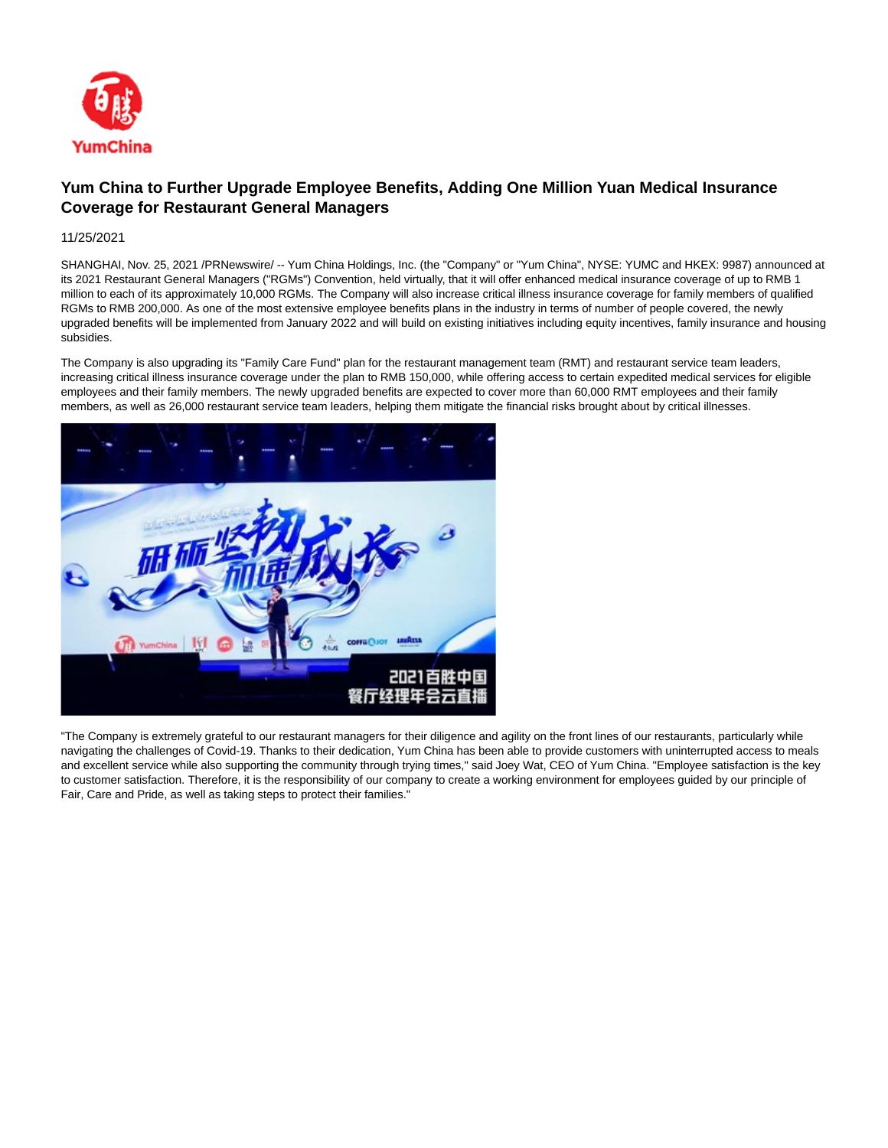

## **Yum China to Further Upgrade Employee Benefits, Adding One Million Yuan Medical Insurance Coverage for Restaurant General Managers**

## 11/25/2021

SHANGHAI, Nov. 25, 2021 /PRNewswire/ -- Yum China Holdings, Inc. (the "Company" or "Yum China", NYSE: YUMC and HKEX: 9987) announced at its 2021 Restaurant General Managers ("RGMs") Convention, held virtually, that it will offer enhanced medical insurance coverage of up to RMB 1 million to each of its approximately 10,000 RGMs. The Company will also increase critical illness insurance coverage for family members of qualified RGMs to RMB 200,000. As one of the most extensive employee benefits plans in the industry in terms of number of people covered, the newly upgraded benefits will be implemented from January 2022 and will build on existing initiatives including equity incentives, family insurance and housing subsidies.

The Company is also upgrading its "Family Care Fund" plan for the restaurant management team (RMT) and restaurant service team leaders, increasing critical illness insurance coverage under the plan to RMB 150,000, while offering access to certain expedited medical services for eligible employees and their family members. The newly upgraded benefits are expected to cover more than 60,000 RMT employees and their family members, as well as 26,000 restaurant service team leaders, helping them mitigate the financial risks brought about by critical illnesses.



"The Company is extremely grateful to our restaurant managers for their diligence and agility on the front lines of our restaurants, particularly while navigating the challenges of Covid-19. Thanks to their dedication, Yum China has been able to provide customers with uninterrupted access to meals and excellent service while also supporting the community through trying times," said Joey Wat, CEO of Yum China. "Employee satisfaction is the key to customer satisfaction. Therefore, it is the responsibility of our company to create a working environment for employees guided by our principle of Fair, Care and Pride, as well as taking steps to protect their families."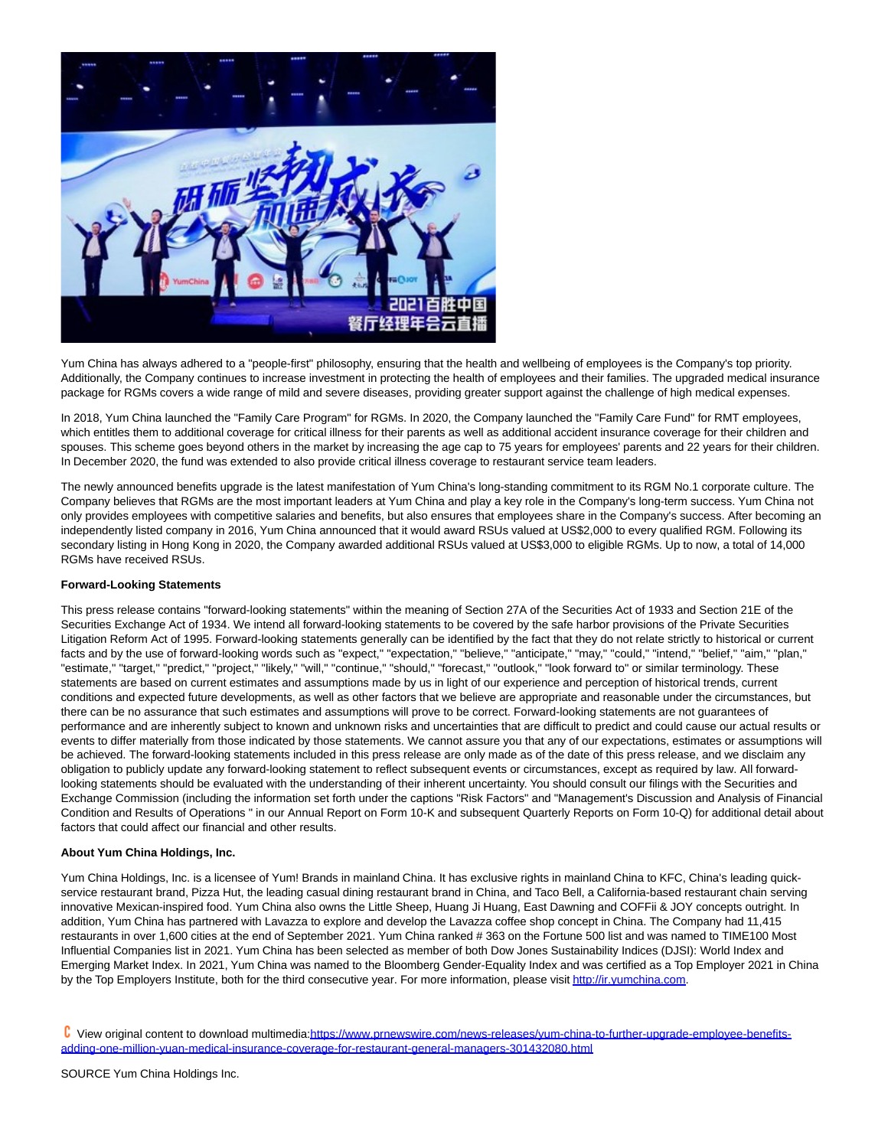

Yum China has always adhered to a "people-first" philosophy, ensuring that the health and wellbeing of employees is the Company's top priority. Additionally, the Company continues to increase investment in protecting the health of employees and their families. The upgraded medical insurance package for RGMs covers a wide range of mild and severe diseases, providing greater support against the challenge of high medical expenses.

In 2018, Yum China launched the "Family Care Program" for RGMs. In 2020, the Company launched the "Family Care Fund" for RMT employees, which entitles them to additional coverage for critical illness for their parents as well as additional accident insurance coverage for their children and spouses. This scheme goes beyond others in the market by increasing the age cap to 75 years for employees' parents and 22 years for their children. In December 2020, the fund was extended to also provide critical illness coverage to restaurant service team leaders.

The newly announced benefits upgrade is the latest manifestation of Yum China's long-standing commitment to its RGM No.1 corporate culture. The Company believes that RGMs are the most important leaders at Yum China and play a key role in the Company's long-term success. Yum China not only provides employees with competitive salaries and benefits, but also ensures that employees share in the Company's success. After becoming an independently listed company in 2016, Yum China announced that it would award RSUs valued at US\$2,000 to every qualified RGM. Following its secondary listing in Hong Kong in 2020, the Company awarded additional RSUs valued at US\$3,000 to eligible RGMs. Up to now, a total of 14,000 RGMs have received RSUs.

## **Forward-Looking Statements**

This press release contains "forward-looking statements" within the meaning of Section 27A of the Securities Act of 1933 and Section 21E of the Securities Exchange Act of 1934. We intend all forward-looking statements to be covered by the safe harbor provisions of the Private Securities Litigation Reform Act of 1995. Forward-looking statements generally can be identified by the fact that they do not relate strictly to historical or current facts and by the use of forward-looking words such as "expect," "expectation," "believe," "anticipate," "may," "could," "intend," "belief," "aim," "plan," "estimate," "target," "predict," "project," "likely," "will," "continue," "should," "forecast," "outlook," "look forward to" or similar terminology. These statements are based on current estimates and assumptions made by us in light of our experience and perception of historical trends, current conditions and expected future developments, as well as other factors that we believe are appropriate and reasonable under the circumstances, but there can be no assurance that such estimates and assumptions will prove to be correct. Forward-looking statements are not guarantees of performance and are inherently subject to known and unknown risks and uncertainties that are difficult to predict and could cause our actual results or events to differ materially from those indicated by those statements. We cannot assure you that any of our expectations, estimates or assumptions will be achieved. The forward-looking statements included in this press release are only made as of the date of this press release, and we disclaim any obligation to publicly update any forward-looking statement to reflect subsequent events or circumstances, except as required by law. All forwardlooking statements should be evaluated with the understanding of their inherent uncertainty. You should consult our filings with the Securities and Exchange Commission (including the information set forth under the captions "Risk Factors" and "Management's Discussion and Analysis of Financial Condition and Results of Operations " in our Annual Report on Form 10-K and subsequent Quarterly Reports on Form 10-Q) for additional detail about factors that could affect our financial and other results.

## **About Yum China Holdings, Inc.**

Yum China Holdings, Inc. is a licensee of Yum! Brands in mainland China. It has exclusive rights in mainland China to KFC, China's leading quickservice restaurant brand, Pizza Hut, the leading casual dining restaurant brand in China, and Taco Bell, a California-based restaurant chain serving innovative Mexican-inspired food. Yum China also owns the Little Sheep, Huang Ji Huang, East Dawning and COFFii & JOY concepts outright. In addition, Yum China has partnered with Lavazza to explore and develop the Lavazza coffee shop concept in China. The Company had 11,415 restaurants in over 1,600 cities at the end of September 2021. Yum China ranked # 363 on the Fortune 500 list and was named to TIME100 Most Influential Companies list in 2021. Yum China has been selected as member of both Dow Jones Sustainability Indices (DJSI): World Index and Emerging Market Index. In 2021, Yum China was named to the Bloomberg Gender-Equality Index and was certified as a Top Employer 2021 in China by the Top Employers Institute, both for the third consecutive year. For more information, please visi[t http://ir.yumchina.com.](http://ir.yumchina.com/)

 View original content to download multimedia[:https://www.prnewswire.com/news-releases/yum-china-to-further-upgrade-employee-benefits](https://www.prnewswire.com/news-releases/yum-china-to-further-upgrade-employee-benefits-adding-one-million-yuan-medical-insurance-coverage-for-restaurant-general-managers-301432080.html)adding-one-million-yuan-medical-insurance-coverage-for-restaurant-general-managers-301432080.html